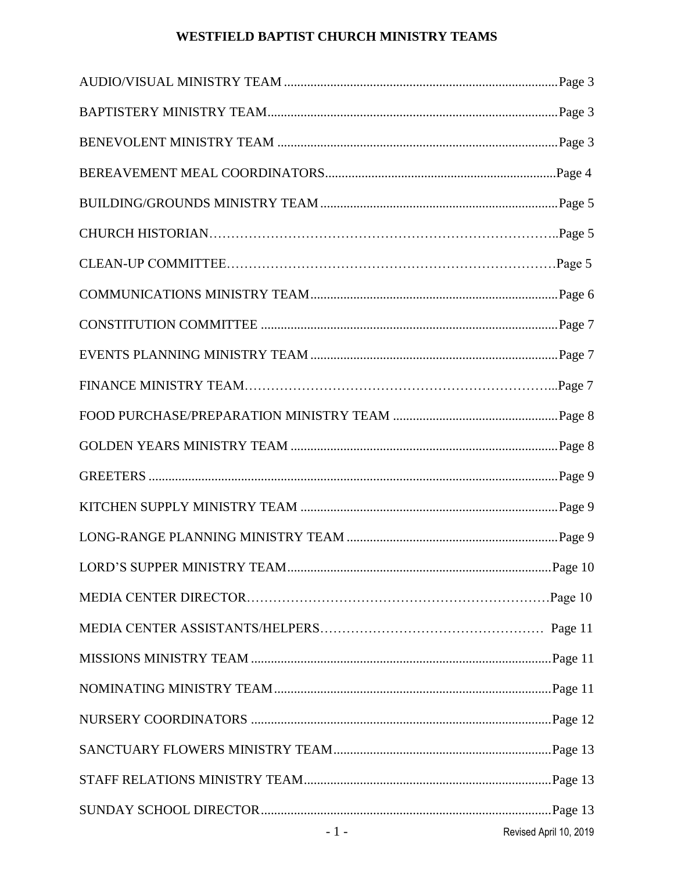# **WESTFIELD BAPTIST CHURCH MINISTRY TEAMS**

| $-1$ - $\sim$ $-1$ | Revised April 10, 2019 |
|--------------------|------------------------|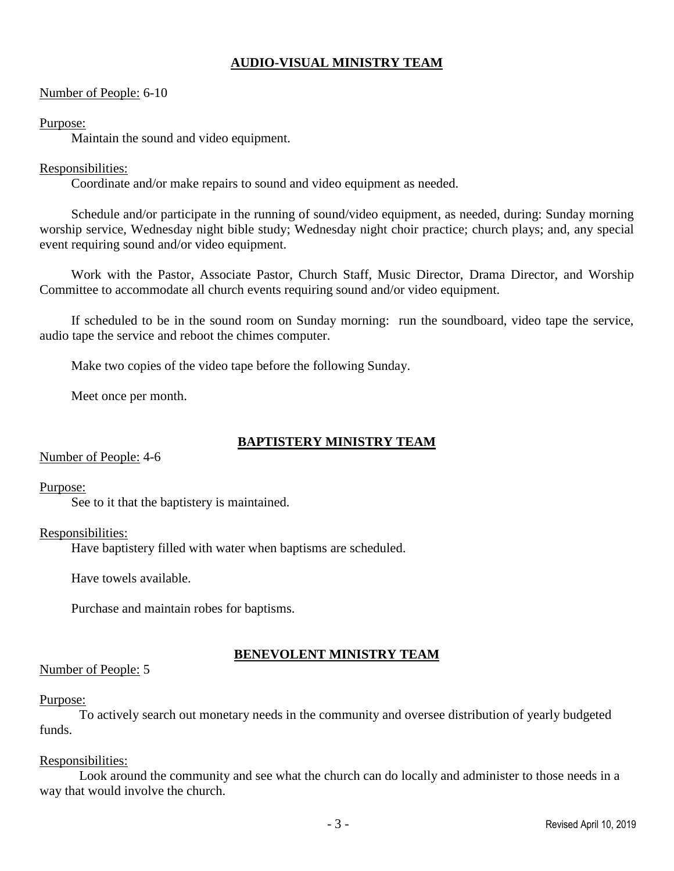# **AUDIO-VISUAL MINISTRY TEAM**

## Number of People: 6-10

#### Purpose:

Maintain the sound and video equipment.

## Responsibilities:

Coordinate and/or make repairs to sound and video equipment as needed.

Schedule and/or participate in the running of sound/video equipment, as needed, during: Sunday morning worship service, Wednesday night bible study; Wednesday night choir practice; church plays; and, any special event requiring sound and/or video equipment.

Work with the Pastor, Associate Pastor, Church Staff, Music Director, Drama Director, and Worship Committee to accommodate all church events requiring sound and/or video equipment.

If scheduled to be in the sound room on Sunday morning: run the soundboard, video tape the service, audio tape the service and reboot the chimes computer.

Make two copies of the video tape before the following Sunday.

Meet once per month.

# **BAPTISTERY MINISTRY TEAM**

Number of People: 4-6

## Purpose:

See to it that the baptistery is maintained.

## Responsibilities:

Have baptistery filled with water when baptisms are scheduled.

Have towels available.

Purchase and maintain robes for baptisms.

## **BENEVOLENT MINISTRY TEAM**

## Number of People: 5

## Purpose:

To actively search out monetary needs in the community and oversee distribution of yearly budgeted funds.

## Responsibilities:

Look around the community and see what the church can do locally and administer to those needs in a way that would involve the church.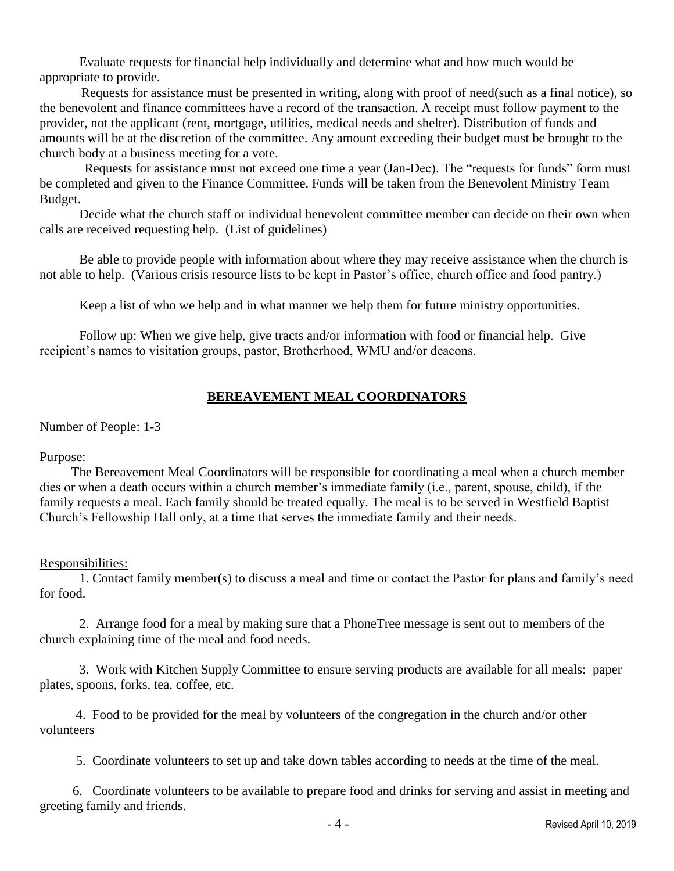Evaluate requests for financial help individually and determine what and how much would be appropriate to provide.

 Requests for assistance must be presented in writing, along with proof of need(such as a final notice), so the benevolent and finance committees have a record of the transaction. A receipt must follow payment to the provider, not the applicant (rent, mortgage, utilities, medical needs and shelter). Distribution of funds and amounts will be at the discretion of the committee. Any amount exceeding their budget must be brought to the church body at a business meeting for a vote.

 Requests for assistance must not exceed one time a year (Jan-Dec). The "requests for funds" form must be completed and given to the Finance Committee. Funds will be taken from the Benevolent Ministry Team Budget.

Decide what the church staff or individual benevolent committee member can decide on their own when calls are received requesting help. (List of guidelines)

Be able to provide people with information about where they may receive assistance when the church is not able to help. (Various crisis resource lists to be kept in Pastor's office, church office and food pantry.)

Keep a list of who we help and in what manner we help them for future ministry opportunities.

Follow up: When we give help, give tracts and/or information with food or financial help. Give recipient's names to visitation groups, pastor, Brotherhood, WMU and/or deacons.

## **BEREAVEMENT MEAL COORDINATORS**

#### Number of People: 1-3

## Purpose:

The Bereavement Meal Coordinators will be responsible for coordinating a meal when a church member dies or when a death occurs within a church member's immediate family (i.e., parent, spouse, child), if the family requests a meal. Each family should be treated equally. The meal is to be served in Westfield Baptist Church's Fellowship Hall only, at a time that serves the immediate family and their needs.

#### Responsibilities:

1. Contact family member(s) to discuss a meal and time or contact the Pastor for plans and family's need for food.

2. Arrange food for a meal by making sure that a PhoneTree message is sent out to members of the church explaining time of the meal and food needs.

3. Work with Kitchen Supply Committee to ensure serving products are available for all meals: paper plates, spoons, forks, tea, coffee, etc.

 4. Food to be provided for the meal by volunteers of the congregation in the church and/or other volunteers

5. Coordinate volunteers to set up and take down tables according to needs at the time of the meal.

 6. Coordinate volunteers to be available to prepare food and drinks for serving and assist in meeting and greeting family and friends.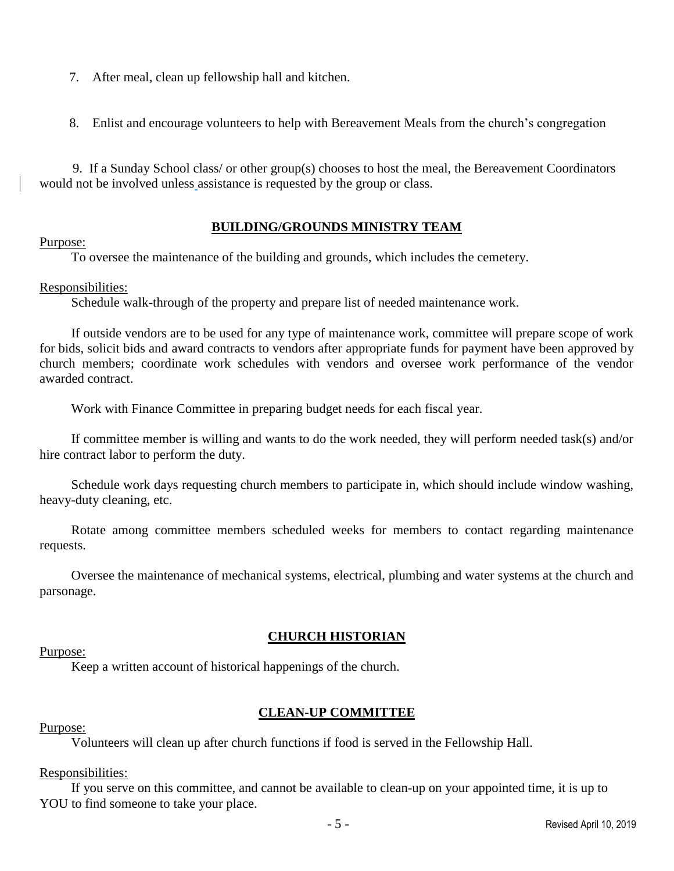- 7. After meal, clean up fellowship hall and kitchen.
- 8. Enlist and encourage volunteers to help with Bereavement Meals from the church's congregation

 9. If a Sunday School class/ or other group(s) chooses to host the meal, the Bereavement Coordinators would not be involved unless assistance is requested by the group or class.

## **BUILDING/GROUNDS MINISTRY TEAM**

#### Purpose:

To oversee the maintenance of the building and grounds, which includes the cemetery.

## Responsibilities:

Schedule walk-through of the property and prepare list of needed maintenance work.

If outside vendors are to be used for any type of maintenance work, committee will prepare scope of work for bids, solicit bids and award contracts to vendors after appropriate funds for payment have been approved by church members; coordinate work schedules with vendors and oversee work performance of the vendor awarded contract.

Work with Finance Committee in preparing budget needs for each fiscal year.

If committee member is willing and wants to do the work needed, they will perform needed task(s) and/or hire contract labor to perform the duty.

Schedule work days requesting church members to participate in, which should include window washing, heavy-duty cleaning, etc.

Rotate among committee members scheduled weeks for members to contact regarding maintenance requests.

Oversee the maintenance of mechanical systems, electrical, plumbing and water systems at the church and parsonage.

## **CHURCH HISTORIAN**

## Purpose:

Keep a written account of historical happenings of the church.

## **CLEAN-UP COMMITTEE**

#### Purpose:

Volunteers will clean up after church functions if food is served in the Fellowship Hall.

## Responsibilities:

If you serve on this committee, and cannot be available to clean-up on your appointed time, it is up to YOU to find someone to take your place.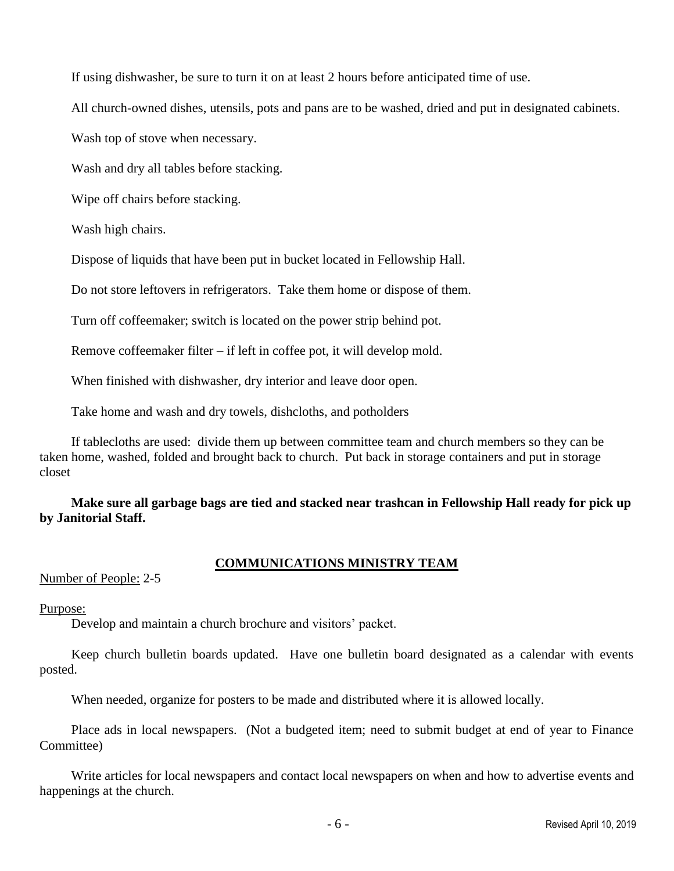If using dishwasher, be sure to turn it on at least 2 hours before anticipated time of use.

All church-owned dishes, utensils, pots and pans are to be washed, dried and put in designated cabinets.

Wash top of stove when necessary.

Wash and dry all tables before stacking.

Wipe off chairs before stacking.

Wash high chairs.

Dispose of liquids that have been put in bucket located in Fellowship Hall.

Do not store leftovers in refrigerators. Take them home or dispose of them.

Turn off coffeemaker; switch is located on the power strip behind pot.

Remove coffeemaker filter – if left in coffee pot, it will develop mold.

When finished with dishwasher, dry interior and leave door open.

Take home and wash and dry towels, dishcloths, and potholders

If tablecloths are used: divide them up between committee team and church members so they can be taken home, washed, folded and brought back to church. Put back in storage containers and put in storage closet

**Make sure all garbage bags are tied and stacked near trashcan in Fellowship Hall ready for pick up by Janitorial Staff.**

## **COMMUNICATIONS MINISTRY TEAM**

Number of People: 2-5

## Purpose:

Develop and maintain a church brochure and visitors' packet.

Keep church bulletin boards updated. Have one bulletin board designated as a calendar with events posted.

When needed, organize for posters to be made and distributed where it is allowed locally.

Place ads in local newspapers. (Not a budgeted item; need to submit budget at end of year to Finance Committee)

Write articles for local newspapers and contact local newspapers on when and how to advertise events and happenings at the church.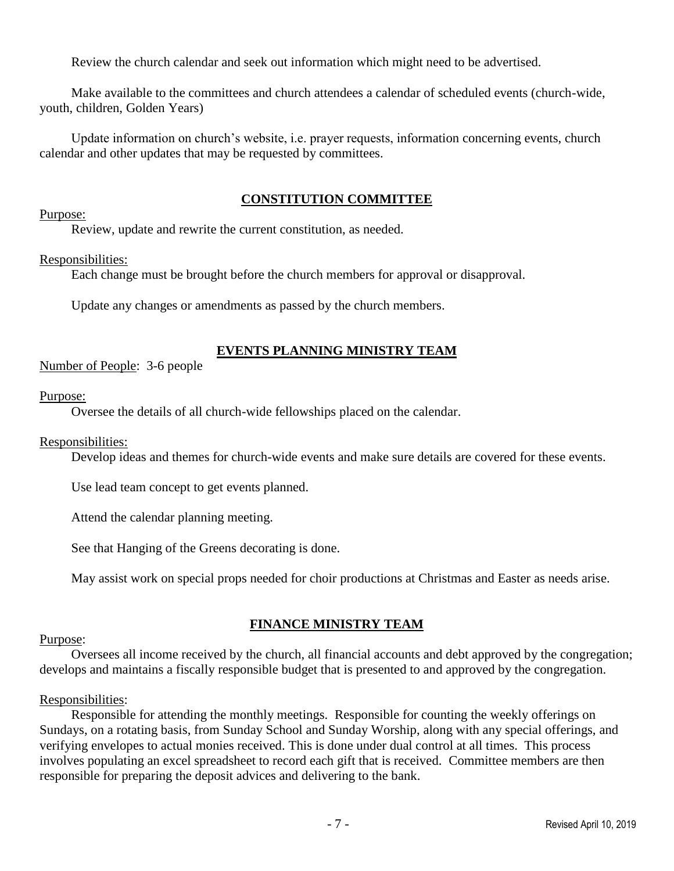Review the church calendar and seek out information which might need to be advertised.

Make available to the committees and church attendees a calendar of scheduled events (church-wide, youth, children, Golden Years)

Update information on church's website, i.e. prayer requests, information concerning events, church calendar and other updates that may be requested by committees.

## **CONSTITUTION COMMITTEE**

## Purpose:

Review, update and rewrite the current constitution, as needed.

## Responsibilities:

Each change must be brought before the church members for approval or disapproval.

Update any changes or amendments as passed by the church members.

## **EVENTS PLANNING MINISTRY TEAM**

Number of People: 3-6 people

## Purpose:

Oversee the details of all church-wide fellowships placed on the calendar.

## Responsibilities:

Develop ideas and themes for church-wide events and make sure details are covered for these events.

Use lead team concept to get events planned.

Attend the calendar planning meeting.

See that Hanging of the Greens decorating is done.

May assist work on special props needed for choir productions at Christmas and Easter as needs arise.

## **FINANCE MINISTRY TEAM**

# Purpose:

Oversees all income received by the church, all financial accounts and debt approved by the congregation; develops and maintains a fiscally responsible budget that is presented to and approved by the congregation.

## Responsibilities:

Responsible for attending the monthly meetings. Responsible for counting the weekly offerings on Sundays, on a rotating basis, from Sunday School and Sunday Worship, along with any special offerings, and verifying envelopes to actual monies received. This is done under dual control at all times. This process involves populating an excel spreadsheet to record each gift that is received. Committee members are then responsible for preparing the deposit advices and delivering to the bank.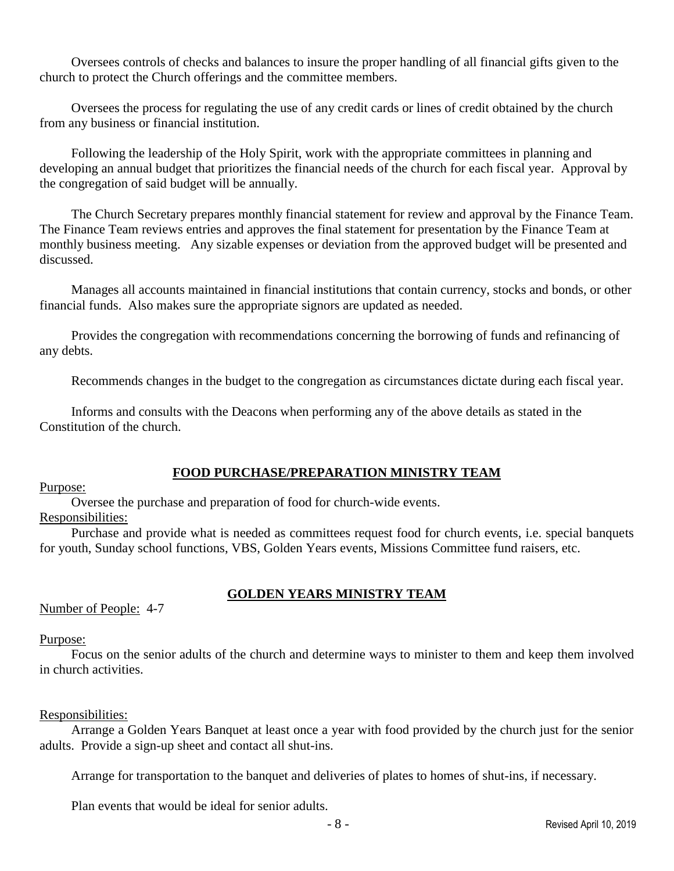Oversees controls of checks and balances to insure the proper handling of all financial gifts given to the church to protect the Church offerings and the committee members.

Oversees the process for regulating the use of any credit cards or lines of credit obtained by the church from any business or financial institution.

Following the leadership of the Holy Spirit, work with the appropriate committees in planning and developing an annual budget that prioritizes the financial needs of the church for each fiscal year. Approval by the congregation of said budget will be annually.

The Church Secretary prepares monthly financial statement for review and approval by the Finance Team. The Finance Team reviews entries and approves the final statement for presentation by the Finance Team at monthly business meeting. Any sizable expenses or deviation from the approved budget will be presented and discussed.

Manages all accounts maintained in financial institutions that contain currency, stocks and bonds, or other financial funds. Also makes sure the appropriate signors are updated as needed.

Provides the congregation with recommendations concerning the borrowing of funds and refinancing of any debts.

Recommends changes in the budget to the congregation as circumstances dictate during each fiscal year.

Informs and consults with the Deacons when performing any of the above details as stated in the Constitution of the church.

## **FOOD PURCHASE/PREPARATION MINISTRY TEAM**

Purpose:

Oversee the purchase and preparation of food for church-wide events.

Responsibilities:

Purchase and provide what is needed as committees request food for church events, i.e. special banquets for youth, Sunday school functions, VBS, Golden Years events, Missions Committee fund raisers, etc.

## **GOLDEN YEARS MINISTRY TEAM**

Number of People: 4-7

#### Purpose:

Focus on the senior adults of the church and determine ways to minister to them and keep them involved in church activities.

## Responsibilities:

Arrange a Golden Years Banquet at least once a year with food provided by the church just for the senior adults. Provide a sign-up sheet and contact all shut-ins.

Arrange for transportation to the banquet and deliveries of plates to homes of shut-ins, if necessary.

Plan events that would be ideal for senior adults.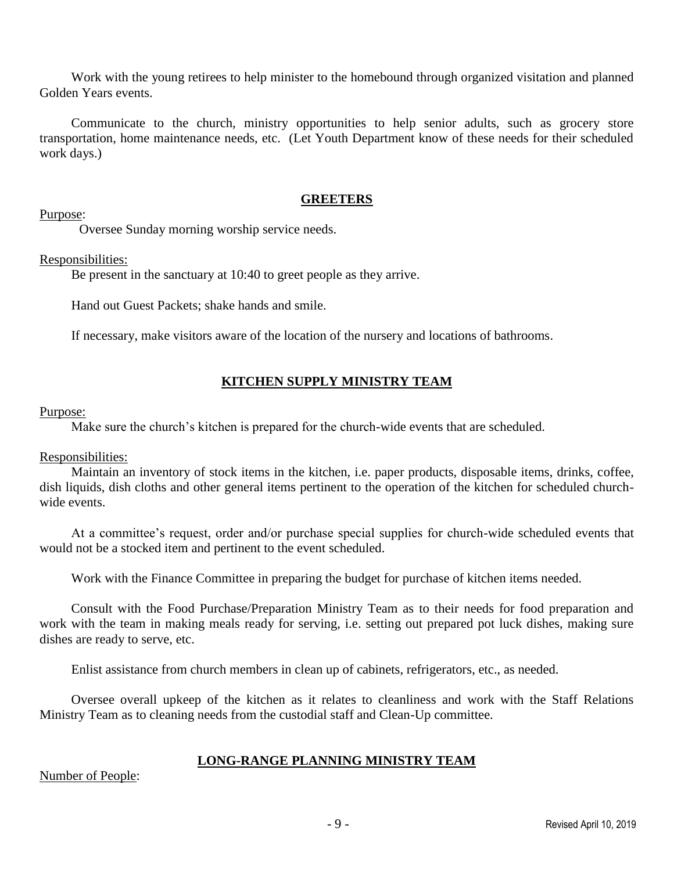Work with the young retirees to help minister to the homebound through organized visitation and planned Golden Years events.

Communicate to the church, ministry opportunities to help senior adults, such as grocery store transportation, home maintenance needs, etc. (Let Youth Department know of these needs for their scheduled work days.)

## **GREETERS**

Purpose:

Oversee Sunday morning worship service needs.

Responsibilities:

Be present in the sanctuary at 10:40 to greet people as they arrive.

Hand out Guest Packets; shake hands and smile.

If necessary, make visitors aware of the location of the nursery and locations of bathrooms.

## **KITCHEN SUPPLY MINISTRY TEAM**

#### Purpose:

Make sure the church's kitchen is prepared for the church-wide events that are scheduled.

## Responsibilities:

Maintain an inventory of stock items in the kitchen, i.e. paper products, disposable items, drinks, coffee, dish liquids, dish cloths and other general items pertinent to the operation of the kitchen for scheduled churchwide events.

At a committee's request, order and/or purchase special supplies for church-wide scheduled events that would not be a stocked item and pertinent to the event scheduled.

Work with the Finance Committee in preparing the budget for purchase of kitchen items needed.

Consult with the Food Purchase/Preparation Ministry Team as to their needs for food preparation and work with the team in making meals ready for serving, i.e. setting out prepared pot luck dishes, making sure dishes are ready to serve, etc.

Enlist assistance from church members in clean up of cabinets, refrigerators, etc., as needed.

Oversee overall upkeep of the kitchen as it relates to cleanliness and work with the Staff Relations Ministry Team as to cleaning needs from the custodial staff and Clean-Up committee.

## **LONG-RANGE PLANNING MINISTRY TEAM**

Number of People: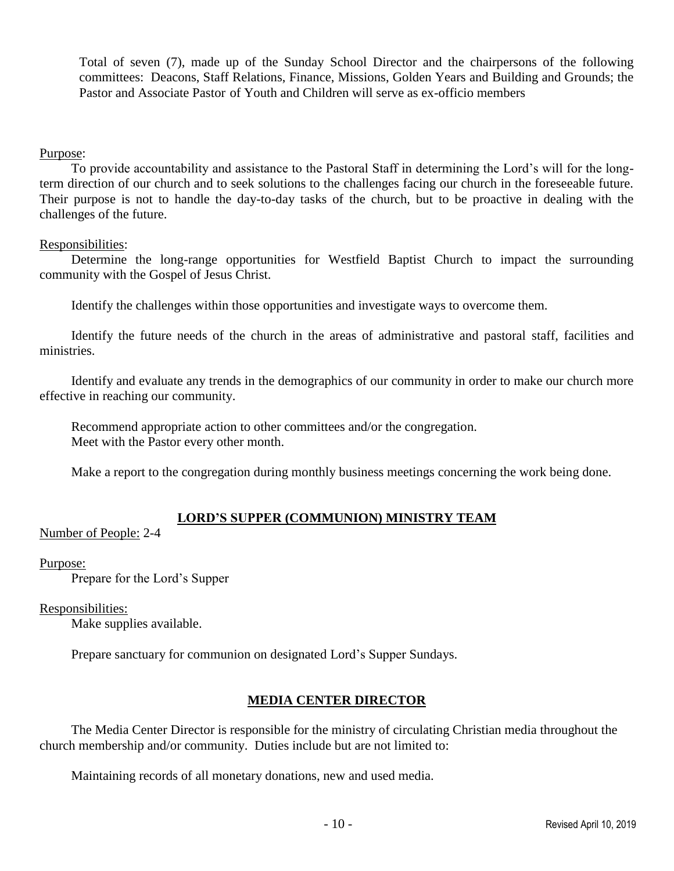Total of seven (7), made up of the Sunday School Director and the chairpersons of the following committees: Deacons, Staff Relations, Finance, Missions, Golden Years and Building and Grounds; the Pastor and Associate Pastor of Youth and Children will serve as ex-officio members

## Purpose:

To provide accountability and assistance to the Pastoral Staff in determining the Lord's will for the longterm direction of our church and to seek solutions to the challenges facing our church in the foreseeable future. Their purpose is not to handle the day-to-day tasks of the church, but to be proactive in dealing with the challenges of the future.

#### Responsibilities:

Determine the long-range opportunities for Westfield Baptist Church to impact the surrounding community with the Gospel of Jesus Christ.

Identify the challenges within those opportunities and investigate ways to overcome them.

Identify the future needs of the church in the areas of administrative and pastoral staff, facilities and ministries.

Identify and evaluate any trends in the demographics of our community in order to make our church more effective in reaching our community.

Recommend appropriate action to other committees and/or the congregation. Meet with the Pastor every other month.

Make a report to the congregation during monthly business meetings concerning the work being done.

## **LORD'S SUPPER (COMMUNION) MINISTRY TEAM**

Number of People: 2-4

#### Purpose:

Prepare for the Lord's Supper

## Responsibilities:

Make supplies available.

Prepare sanctuary for communion on designated Lord's Supper Sundays.

## **MEDIA CENTER DIRECTOR**

The Media Center Director is responsible for the ministry of circulating Christian media throughout the church membership and/or community. Duties include but are not limited to:

Maintaining records of all monetary donations, new and used media.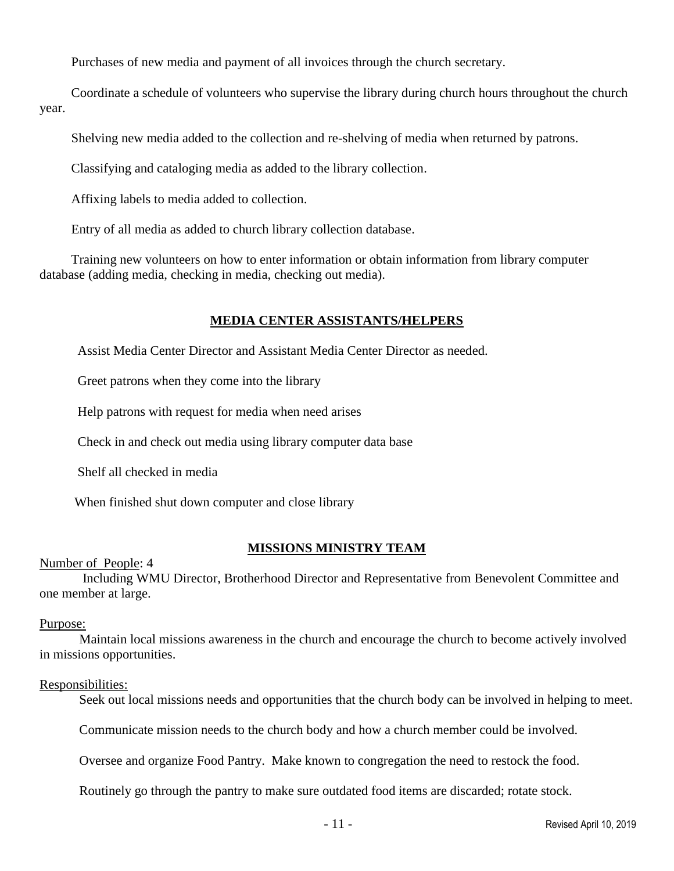Purchases of new media and payment of all invoices through the church secretary.

Coordinate a schedule of volunteers who supervise the library during church hours throughout the church year.

Shelving new media added to the collection and re-shelving of media when returned by patrons.

Classifying and cataloging media as added to the library collection.

Affixing labels to media added to collection.

Entry of all media as added to church library collection database.

Training new volunteers on how to enter information or obtain information from library computer database (adding media, checking in media, checking out media).

## **MEDIA CENTER ASSISTANTS/HELPERS**

Assist Media Center Director and Assistant Media Center Director as needed.

Greet patrons when they come into the library

Help patrons with request for media when need arises

Check in and check out media using library computer data base

Shelf all checked in media

When finished shut down computer and close library

## **MISSIONS MINISTRY TEAM**

Number of People: 4

Including WMU Director, Brotherhood Director and Representative from Benevolent Committee and one member at large.

## Purpose:

Maintain local missions awareness in the church and encourage the church to become actively involved in missions opportunities.

## Responsibilities:

Seek out local missions needs and opportunities that the church body can be involved in helping to meet.

Communicate mission needs to the church body and how a church member could be involved.

Oversee and organize Food Pantry. Make known to congregation the need to restock the food.

Routinely go through the pantry to make sure outdated food items are discarded; rotate stock.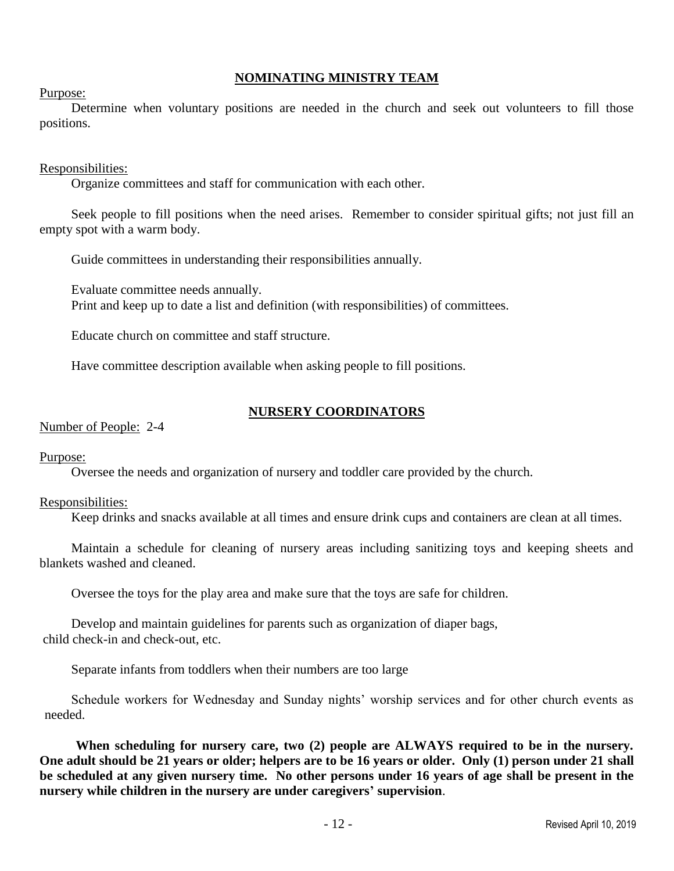## **NOMINATING MINISTRY TEAM**

Purpose:

Determine when voluntary positions are needed in the church and seek out volunteers to fill those positions.

#### Responsibilities:

Organize committees and staff for communication with each other.

Seek people to fill positions when the need arises. Remember to consider spiritual gifts; not just fill an empty spot with a warm body.

Guide committees in understanding their responsibilities annually.

Evaluate committee needs annually. Print and keep up to date a list and definition (with responsibilities) of committees.

Educate church on committee and staff structure.

Have committee description available when asking people to fill positions.

## **NURSERY COORDINATORS**

#### Number of People: 2-4

Purpose:

Oversee the needs and organization of nursery and toddler care provided by the church.

#### Responsibilities:

Keep drinks and snacks available at all times and ensure drink cups and containers are clean at all times.

Maintain a schedule for cleaning of nursery areas including sanitizing toys and keeping sheets and blankets washed and cleaned.

Oversee the toys for the play area and make sure that the toys are safe for children.

Develop and maintain guidelines for parents such as organization of diaper bags, child check-in and check-out, etc.

Separate infants from toddlers when their numbers are too large

Schedule workers for Wednesday and Sunday nights' worship services and for other church events as needed.

 **When scheduling for nursery care, two (2) people are ALWAYS required to be in the nursery. One adult should be 21 years or older; helpers are to be 16 years or older. Only (1) person under 21 shall be scheduled at any given nursery time. No other persons under 16 years of age shall be present in the nursery while children in the nursery are under caregivers' supervision**.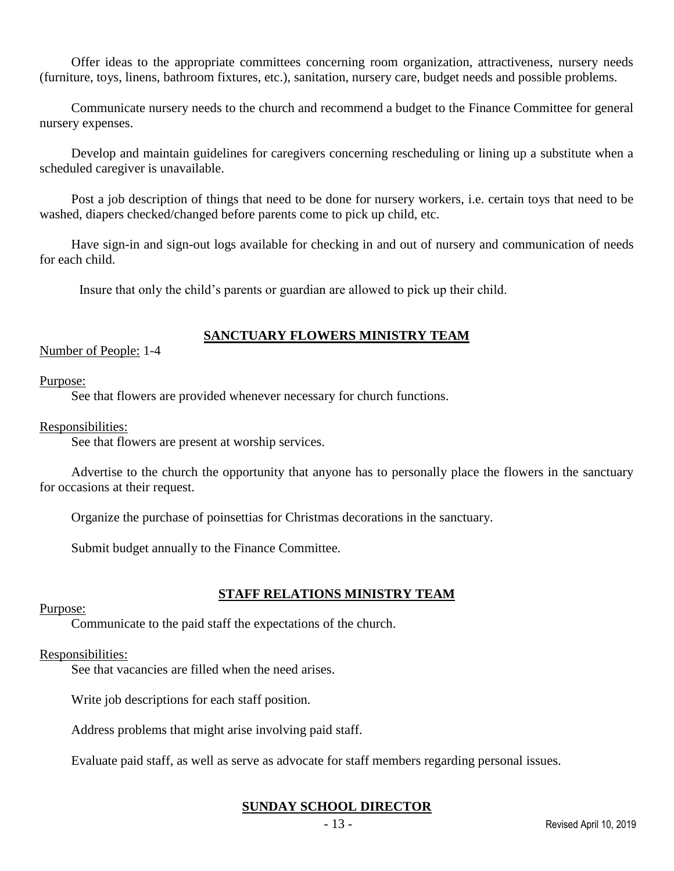Offer ideas to the appropriate committees concerning room organization, attractiveness, nursery needs (furniture, toys, linens, bathroom fixtures, etc.), sanitation, nursery care, budget needs and possible problems.

Communicate nursery needs to the church and recommend a budget to the Finance Committee for general nursery expenses.

Develop and maintain guidelines for caregivers concerning rescheduling or lining up a substitute when a scheduled caregiver is unavailable.

Post a job description of things that need to be done for nursery workers, i.e. certain toys that need to be washed, diapers checked/changed before parents come to pick up child, etc.

Have sign-in and sign-out logs available for checking in and out of nursery and communication of needs for each child.

Insure that only the child's parents or guardian are allowed to pick up their child.

# **SANCTUARY FLOWERS MINISTRY TEAM**

Number of People: 1-4

Purpose:

See that flowers are provided whenever necessary for church functions.

Responsibilities:

See that flowers are present at worship services.

Advertise to the church the opportunity that anyone has to personally place the flowers in the sanctuary for occasions at their request.

Organize the purchase of poinsettias for Christmas decorations in the sanctuary.

Submit budget annually to the Finance Committee.

## **STAFF RELATIONS MINISTRY TEAM**

Purpose:

Communicate to the paid staff the expectations of the church.

## Responsibilities:

See that vacancies are filled when the need arises.

Write job descriptions for each staff position.

Address problems that might arise involving paid staff.

Evaluate paid staff, as well as serve as advocate for staff members regarding personal issues.

## **SUNDAY SCHOOL DIRECTOR**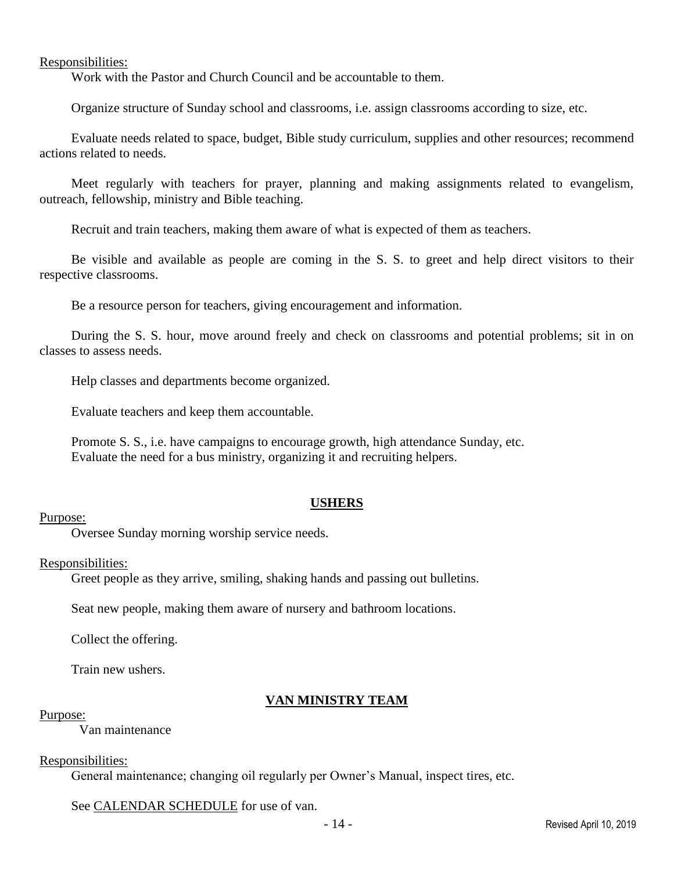Responsibilities:

Work with the Pastor and Church Council and be accountable to them.

Organize structure of Sunday school and classrooms, i.e. assign classrooms according to size, etc.

Evaluate needs related to space, budget, Bible study curriculum, supplies and other resources; recommend actions related to needs.

Meet regularly with teachers for prayer, planning and making assignments related to evangelism, outreach, fellowship, ministry and Bible teaching.

Recruit and train teachers, making them aware of what is expected of them as teachers.

Be visible and available as people are coming in the S. S. to greet and help direct visitors to their respective classrooms.

Be a resource person for teachers, giving encouragement and information.

During the S. S. hour, move around freely and check on classrooms and potential problems; sit in on classes to assess needs.

Help classes and departments become organized.

Evaluate teachers and keep them accountable.

Promote S. S., i.e. have campaigns to encourage growth, high attendance Sunday, etc. Evaluate the need for a bus ministry, organizing it and recruiting helpers.

## **USHERS**

#### Purpose:

Oversee Sunday morning worship service needs.

#### Responsibilities:

Greet people as they arrive, smiling, shaking hands and passing out bulletins.

Seat new people, making them aware of nursery and bathroom locations.

Collect the offering.

Train new ushers.

## **VAN MINISTRY TEAM**

#### Purpose:

Van maintenance

#### Responsibilities:

General maintenance; changing oil regularly per Owner's Manual, inspect tires, etc.

See CALENDAR SCHEDULE for use of van.